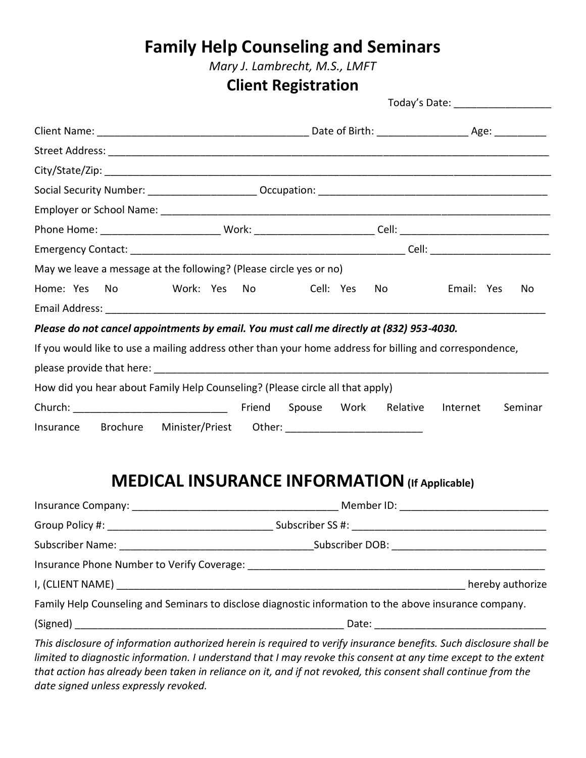*Mary J. Lambrecht, M.S., LMFT*

### **Client Registration**

Today's Date: \_\_\_\_\_\_\_\_\_\_\_\_\_\_\_\_\_

| Phone Home: ______________________________Work: ______________________________Cell: __________________________ |  |                         |                     |
|----------------------------------------------------------------------------------------------------------------|--|-------------------------|---------------------|
|                                                                                                                |  |                         |                     |
| May we leave a message at the following? (Please circle yes or no)                                             |  |                         |                     |
|                                                                                                                |  | Cell: Yes<br>No.        | Email: Yes<br>No.   |
|                                                                                                                |  |                         |                     |
| Please do not cancel appointments by email. You must call me directly at (832) 953-4030.                       |  |                         |                     |
| If you would like to use a mailing address other than your home address for billing and correspondence,        |  |                         |                     |
|                                                                                                                |  |                         |                     |
| How did you hear about Family Help Counseling? (Please circle all that apply)                                  |  |                         |                     |
|                                                                                                                |  | Spouse Work<br>Relative | Internet<br>Seminar |
|                                                                                                                |  |                         |                     |

# **MEDICAL INSURANCE INFORMATION(If Applicable)**

| Member ID: ________________________________                                                            |
|--------------------------------------------------------------------------------------------------------|
|                                                                                                        |
| Subscriber DOB: ______________________________                                                         |
|                                                                                                        |
| hereby authorize                                                                                       |
| Family Help Counseling and Seminars to disclose diagnostic information to the above insurance company. |
|                                                                                                        |

*This disclosure of information authorized herein is required to verify insurance benefits. Such disclosure shall be limited to diagnostic information. I understand that I may revoke this consent at any time except to the extent that action has already been taken in reliance on it, and if not revoked, this consent shall continue from the date signed unless expressly revoked.*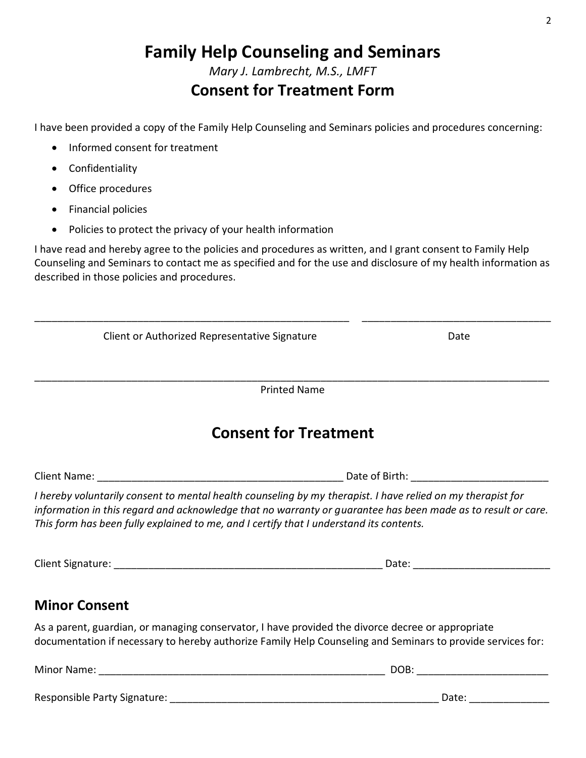*Mary J. Lambrecht, M.S., LMFT*

### **Consent for Treatment Form**

I have been provided a copy of the Family Help Counseling and Seminars policies and procedures concerning:

- Informed consent for treatment
- Confidentiality
- Office procedures
- Financial policies
- Policies to protect the privacy of your health information

I have read and hereby agree to the policies and procedures as written, and I grant consent to Family Help Counseling and Seminars to contact me as specified and for the use and disclosure of my health information as described in those policies and procedures.

| Client or Authorized Representative Signature                                                                                                                                                                                                                                                                          |                              | Date                             |
|------------------------------------------------------------------------------------------------------------------------------------------------------------------------------------------------------------------------------------------------------------------------------------------------------------------------|------------------------------|----------------------------------|
|                                                                                                                                                                                                                                                                                                                        | <b>Printed Name</b>          |                                  |
|                                                                                                                                                                                                                                                                                                                        | <b>Consent for Treatment</b> |                                  |
|                                                                                                                                                                                                                                                                                                                        |                              |                                  |
| I hereby voluntarily consent to mental health counseling by my therapist. I have relied on my therapist for<br>information in this regard and acknowledge that no warranty or guarantee has been made as to result or care.<br>This form has been fully explained to me, and I certify that I understand its contents. |                              |                                  |
|                                                                                                                                                                                                                                                                                                                        |                              |                                  |
| <b>Minor Consent</b>                                                                                                                                                                                                                                                                                                   |                              |                                  |
| As a parent, guardian, or managing conservator, I have provided the divorce decree or appropriate<br>documentation if necessary to hereby authorize Family Help Counseling and Seminars to provide services for:                                                                                                       |                              |                                  |
|                                                                                                                                                                                                                                                                                                                        |                              | DOB: ___________________________ |

Responsible Party Signature: \_\_\_\_\_\_\_\_\_\_\_\_\_\_\_\_\_\_\_\_\_\_\_\_\_\_\_\_\_\_\_\_\_\_\_\_\_\_\_\_\_\_\_\_\_\_\_ Date: \_\_\_\_\_\_\_\_\_\_\_\_\_\_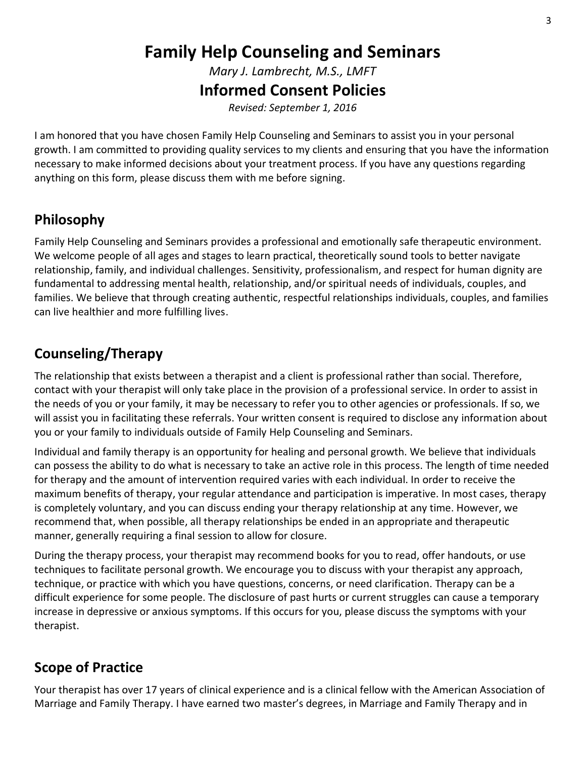*Mary J. Lambrecht, M.S., LMFT*

#### **Informed Consent Policies**

*Revised: September 1, 2016*

I am honored that you have chosen Family Help Counseling and Seminars to assist you in your personal growth. I am committed to providing quality services to my clients and ensuring that you have the information necessary to make informed decisions about your treatment process. If you have any questions regarding anything on this form, please discuss them with me before signing.

### **Philosophy**

Family Help Counseling and Seminars provides a professional and emotionally safe therapeutic environment. We welcome people of all ages and stages to learn practical, theoretically sound tools to better navigate relationship, family, and individual challenges. Sensitivity, professionalism, and respect for human dignity are fundamental to addressing mental health, relationship, and/or spiritual needs of individuals, couples, and families. We believe that through creating authentic, respectful relationships individuals, couples, and families can live healthier and more fulfilling lives.

### **Counseling/Therapy**

The relationship that exists between a therapist and a client is professional rather than social. Therefore, contact with your therapist will only take place in the provision of a professional service. In order to assist in the needs of you or your family, it may be necessary to refer you to other agencies or professionals. If so, we will assist you in facilitating these referrals. Your written consent is required to disclose any information about you or your family to individuals outside of Family Help Counseling and Seminars.

Individual and family therapy is an opportunity for healing and personal growth. We believe that individuals can possess the ability to do what is necessary to take an active role in this process. The length of time needed for therapy and the amount of intervention required varies with each individual. In order to receive the maximum benefits of therapy, your regular attendance and participation is imperative. In most cases, therapy is completely voluntary, and you can discuss ending your therapy relationship at any time. However, we recommend that, when possible, all therapy relationships be ended in an appropriate and therapeutic manner, generally requiring a final session to allow for closure.

During the therapy process, your therapist may recommend books for you to read, offer handouts, or use techniques to facilitate personal growth. We encourage you to discuss with your therapist any approach, technique, or practice with which you have questions, concerns, or need clarification. Therapy can be a difficult experience for some people. The disclosure of past hurts or current struggles can cause a temporary increase in depressive or anxious symptoms. If this occurs for you, please discuss the symptoms with your therapist.

### **Scope of Practice**

Your therapist has over 17 years of clinical experience and is a clinical fellow with the American Association of Marriage and Family Therapy. I have earned two master's degrees, in Marriage and Family Therapy and in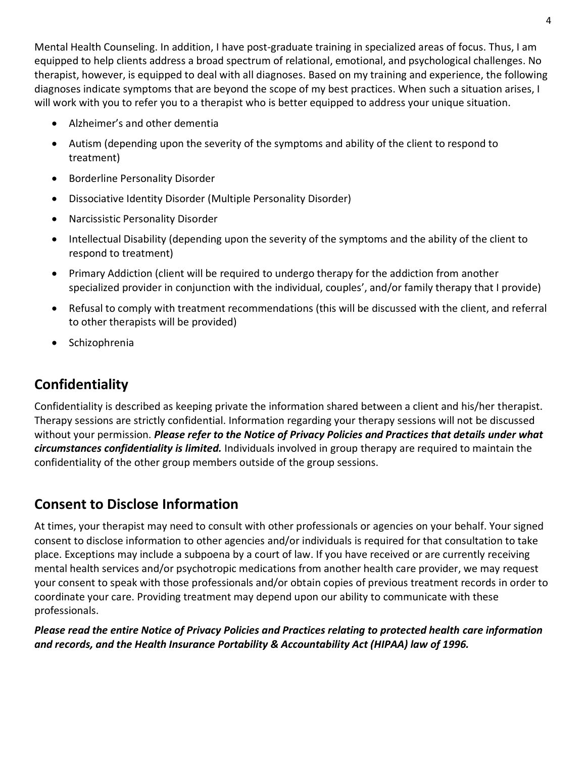Mental Health Counseling. In addition, I have post-graduate training in specialized areas of focus. Thus, I am equipped to help clients address a broad spectrum of relational, emotional, and psychological challenges. No therapist, however, is equipped to deal with all diagnoses. Based on my training and experience, the following diagnoses indicate symptoms that are beyond the scope of my best practices. When such a situation arises, I will work with you to refer you to a therapist who is better equipped to address your unique situation.

- Alzheimer's and other dementia
- Autism (depending upon the severity of the symptoms and ability of the client to respond to treatment)
- Borderline Personality Disorder
- Dissociative Identity Disorder (Multiple Personality Disorder)
- Narcissistic Personality Disorder
- Intellectual Disability (depending upon the severity of the symptoms and the ability of the client to respond to treatment)
- Primary Addiction (client will be required to undergo therapy for the addiction from another specialized provider in conjunction with the individual, couples', and/or family therapy that I provide)
- Refusal to comply with treatment recommendations (this will be discussed with the client, and referral to other therapists will be provided)
- Schizophrenia

# **Confidentiality**

Confidentiality is described as keeping private the information shared between a client and his/her therapist. Therapy sessions are strictly confidential. Information regarding your therapy sessions will not be discussed without your permission. *Please refer to the Notice of Privacy Policies and Practices that details under what circumstances confidentiality is limited.* Individuals involved in group therapy are required to maintain the confidentiality of the other group members outside of the group sessions.

### **Consent to Disclose Information**

At times, your therapist may need to consult with other professionals or agencies on your behalf. Your signed consent to disclose information to other agencies and/or individuals is required for that consultation to take place. Exceptions may include a subpoena by a court of law. If you have received or are currently receiving mental health services and/or psychotropic medications from another health care provider, we may request your consent to speak with those professionals and/or obtain copies of previous treatment records in order to coordinate your care. Providing treatment may depend upon our ability to communicate with these professionals.

*Please read the entire Notice of Privacy Policies and Practices relating to protected health care information and records, and the Health Insurance Portability & Accountability Act (HIPAA) law of 1996.*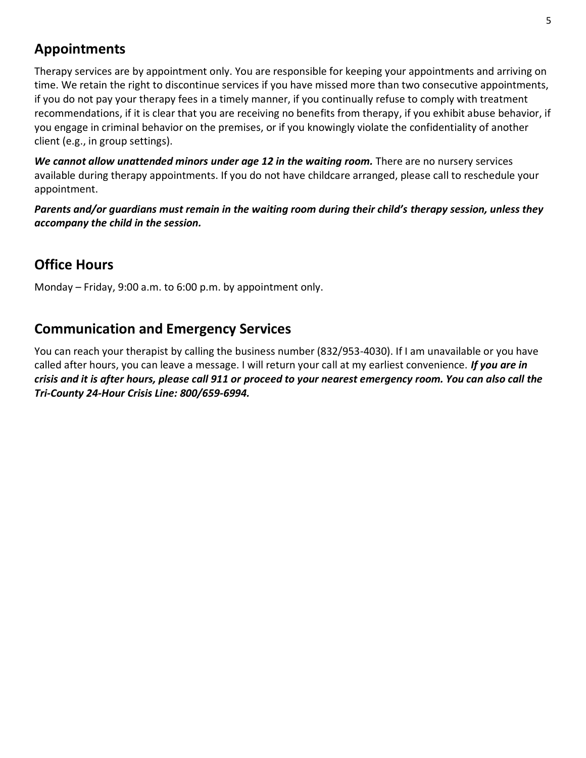### **Appointments**

Therapy services are by appointment only. You are responsible for keeping your appointments and arriving on time. We retain the right to discontinue services if you have missed more than two consecutive appointments, if you do not pay your therapy fees in a timely manner, if you continually refuse to comply with treatment recommendations, if it is clear that you are receiving no benefits from therapy, if you exhibit abuse behavior, if you engage in criminal behavior on the premises, or if you knowingly violate the confidentiality of another client (e.g., in group settings).

*We cannot allow unattended minors under age 12 in the waiting room.* There are no nursery services available during therapy appointments. If you do not have childcare arranged, please call to reschedule your appointment.

*Parents and/or guardians must remain in the waiting room during their child's therapy session, unless they accompany the child in the session.*

### **Office Hours**

Monday – Friday, 9:00 a.m. to 6:00 p.m. by appointment only.

#### **Communication and Emergency Services**

You can reach your therapist by calling the business number (832/953-4030). If I am unavailable or you have called after hours, you can leave a message. I will return your call at my earliest convenience. *If you are in crisis and it is after hours, please call 911 or proceed to your nearest emergency room. You can also call the Tri-County 24-Hour Crisis Line: 800/659-6994.*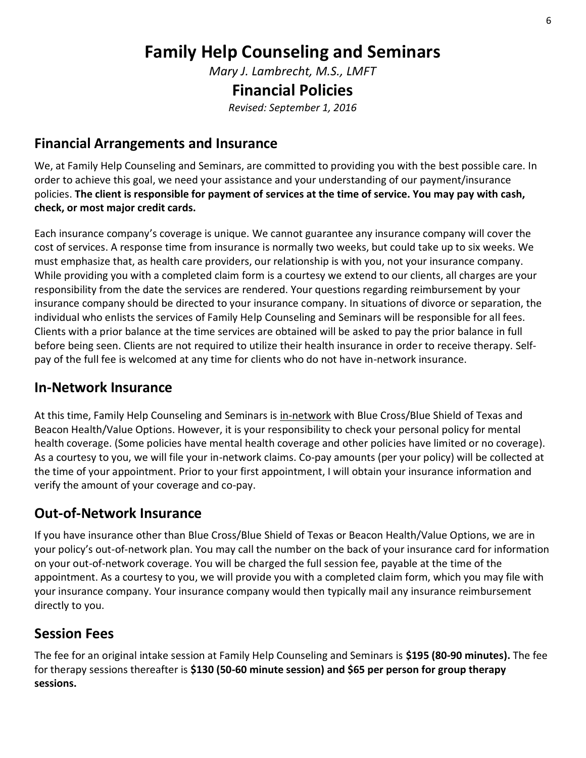*Mary J. Lambrecht, M.S., LMFT*

#### **Financial Policies**

*Revised: September 1, 2016*

#### **Financial Arrangements and Insurance**

We, at Family Help Counseling and Seminars, are committed to providing you with the best possible care. In order to achieve this goal, we need your assistance and your understanding of our payment/insurance policies. **The client is responsible for payment of services at the time of service. You may pay with cash, check, or most major credit cards.**

Each insurance company's coverage is unique. We cannot guarantee any insurance company will cover the cost of services. A response time from insurance is normally two weeks, but could take up to six weeks. We must emphasize that, as health care providers, our relationship is with you, not your insurance company. While providing you with a completed claim form is a courtesy we extend to our clients, all charges are your responsibility from the date the services are rendered. Your questions regarding reimbursement by your insurance company should be directed to your insurance company. In situations of divorce or separation, the individual who enlists the services of Family Help Counseling and Seminars will be responsible for all fees. Clients with a prior balance at the time services are obtained will be asked to pay the prior balance in full before being seen. Clients are not required to utilize their health insurance in order to receive therapy. Selfpay of the full fee is welcomed at any time for clients who do not have in-network insurance.

#### **In-Network Insurance**

At this time, Family Help Counseling and Seminars is in-network with Blue Cross/Blue Shield of Texas and Beacon Health/Value Options. However, it is your responsibility to check your personal policy for mental health coverage. (Some policies have mental health coverage and other policies have limited or no coverage). As a courtesy to you, we will file your in-network claims. Co-pay amounts (per your policy) will be collected at the time of your appointment. Prior to your first appointment, I will obtain your insurance information and verify the amount of your coverage and co-pay.

#### **Out-of-Network Insurance**

If you have insurance other than Blue Cross/Blue Shield of Texas or Beacon Health/Value Options, we are in your policy's out-of-network plan. You may call the number on the back of your insurance card for information on your out-of-network coverage. You will be charged the full session fee, payable at the time of the appointment. As a courtesy to you, we will provide you with a completed claim form, which you may file with your insurance company. Your insurance company would then typically mail any insurance reimbursement directly to you.

#### **Session Fees**

The fee for an original intake session at Family Help Counseling and Seminars is **\$195 (80-90 minutes).** The fee for therapy sessions thereafter is **\$130 (50-60 minute session) and \$65 per person for group therapy sessions.**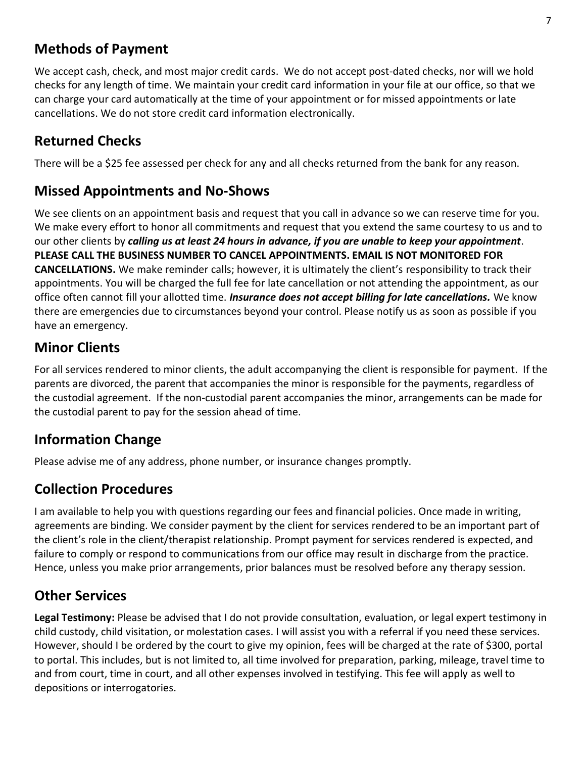### **Methods of Payment**

We accept cash, check, and most major credit cards. We do not accept post-dated checks, nor will we hold checks for any length of time. We maintain your credit card information in your file at our office, so that we can charge your card automatically at the time of your appointment or for missed appointments or late cancellations. We do not store credit card information electronically.

### **Returned Checks**

There will be a \$25 fee assessed per check for any and all checks returned from the bank for any reason.

#### **Missed Appointments and No-Shows**

We see clients on an appointment basis and request that you call in advance so we can reserve time for you. We make every effort to honor all commitments and request that you extend the same courtesy to us and to our other clients by *calling us at least 24 hours in advance, if you are unable to keep your appointment*. **PLEASE CALL THE BUSINESS NUMBER TO CANCEL APPOINTMENTS. EMAIL IS NOT MONITORED FOR CANCELLATIONS.** We make reminder calls; however, it is ultimately the client's responsibility to track their appointments. You will be charged the full fee for late cancellation or not attending the appointment, as our office often cannot fill your allotted time. *Insurance does not accept billing for late cancellations.* We know there are emergencies due to circumstances beyond your control. Please notify us as soon as possible if you have an emergency.

### **Minor Clients**

For all services rendered to minor clients, the adult accompanying the client is responsible for payment. If the parents are divorced, the parent that accompanies the minor is responsible for the payments, regardless of the custodial agreement. If the non-custodial parent accompanies the minor, arrangements can be made for the custodial parent to pay for the session ahead of time.

#### **Information Change**

Please advise me of any address, phone number, or insurance changes promptly.

### **Collection Procedures**

I am available to help you with questions regarding our fees and financial policies. Once made in writing, agreements are binding. We consider payment by the client for services rendered to be an important part of the client's role in the client/therapist relationship. Prompt payment for services rendered is expected, and failure to comply or respond to communications from our office may result in discharge from the practice. Hence, unless you make prior arrangements, prior balances must be resolved before any therapy session.

### **Other Services**

**Legal Testimony:** Please be advised that I do not provide consultation, evaluation, or legal expert testimony in child custody, child visitation, or molestation cases. I will assist you with a referral if you need these services. However, should I be ordered by the court to give my opinion, fees will be charged at the rate of \$300, portal to portal. This includes, but is not limited to, all time involved for preparation, parking, mileage, travel time to and from court, time in court, and all other expenses involved in testifying. This fee will apply as well to depositions or interrogatories.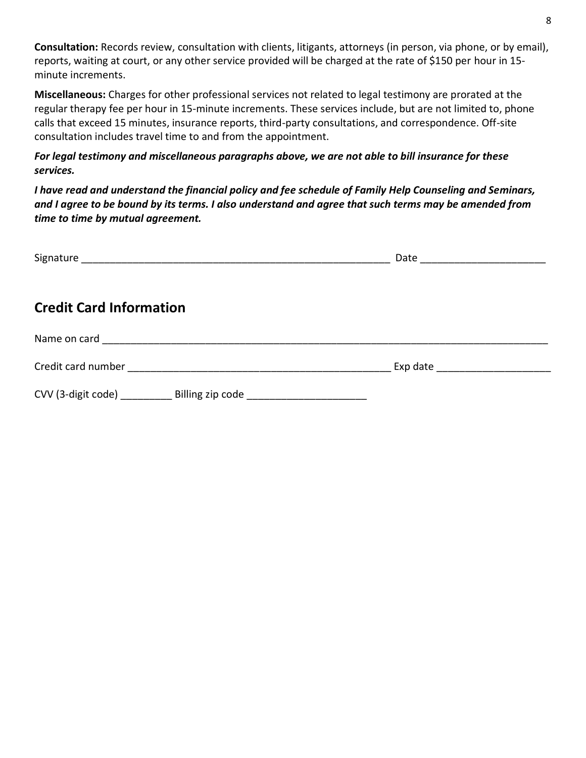**Consultation:** Records review, consultation with clients, litigants, attorneys (in person, via phone, or by email), reports, waiting at court, or any other service provided will be charged at the rate of \$150 per hour in 15 minute increments.

**Miscellaneous:** Charges for other professional services not related to legal testimony are prorated at the regular therapy fee per hour in 15-minute increments. These services include, but are not limited to, phone calls that exceed 15 minutes, insurance reports, third-party consultations, and correspondence. Off-site consultation includes travel time to and from the appointment.

*For legal testimony and miscellaneous paragraphs above, we are not able to bill insurance for these services.*

*I have read and understand the financial policy and fee schedule of Family Help Counseling and Seminars, and I agree to be bound by its terms. I also understand and agree that such terms may be amended from time to time by mutual agreement.*

|                                                                                  | Date<br><u> 1989 - Johann Stoff, Amerikaansk politiker (</u> |
|----------------------------------------------------------------------------------|--------------------------------------------------------------|
| <b>Credit Card Information</b>                                                   |                                                              |
|                                                                                  |                                                              |
|                                                                                  |                                                              |
| CVV (3-digit code) ____________ Billing zip code _______________________________ |                                                              |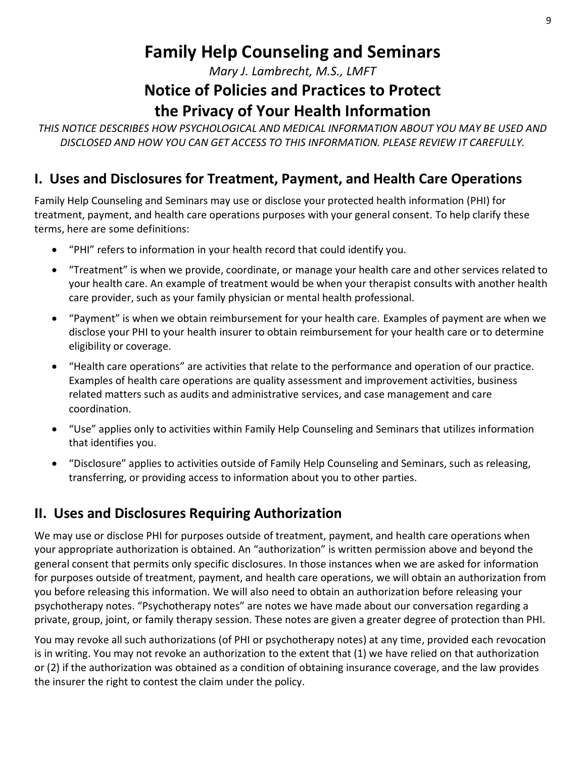*Mary J. Lambrecht, M.S., LMFT*

# **Notice of Policies and Practices to Protect**

# **the Privacy of Your Health Information**

*THIS NOTICE DESCRIBES HOW PSYCHOLOGICAL AND MEDICAL INFORMATION ABOUT YOU MAY BE USED AND DISCLOSED AND HOW YOU CAN GET ACCESS TO THIS INFORMATION. PLEASE REVIEW IT CAREFULLY.*

#### **I. Uses and Disclosures for Treatment, Payment, and Health Care Operations**

Family Help Counseling and Seminars may use or disclose your protected health information (PHI) for treatment, payment, and health care operations purposes with your general consent. To help clarify these terms, here are some definitions:

- "PHI" refers to information in your health record that could identify you.
- "Treatment" is when we provide, coordinate, or manage your health care and other services related to your health care. An example of treatment would be when your therapist consults with another health care provider, such as your family physician or mental health professional.
- "Payment" is when we obtain reimbursement for your health care. Examples of payment are when we disclose your PHI to your health insurer to obtain reimbursement for your health care or to determine eligibility or coverage.
- "Health care operations" are activities that relate to the performance and operation of our practice. Examples of health care operations are quality assessment and improvement activities, business related matters such as audits and administrative services, and case management and care coordination.
- "Use" applies only to activities within Family Help Counseling and Seminars that utilizes information that identifies you.
- "Disclosure" applies to activities outside of Family Help Counseling and Seminars, such as releasing, transferring, or providing access to information about you to other parties.

### **II. Uses and Disclosures Requiring Authorization**

We may use or disclose PHI for purposes outside of treatment, payment, and health care operations when your appropriate authorization is obtained. An "authorization" is written permission above and beyond the general consent that permits only specific disclosures. In those instances when we are asked for information for purposes outside of treatment, payment, and health care operations, we will obtain an authorization from you before releasing this information. We will also need to obtain an authorization before releasing your psychotherapy notes. "Psychotherapy notes" are notes we have made about our conversation regarding a private, group, joint, or family therapy session. These notes are given a greater degree of protection than PHI.

You may revoke all such authorizations (of PHI or psychotherapy notes) at any time, provided each revocation is in writing. You may not revoke an authorization to the extent that (1) we have relied on that authorization or (2) if the authorization was obtained as a condition of obtaining insurance coverage, and the law provides the insurer the right to contest the claim under the policy.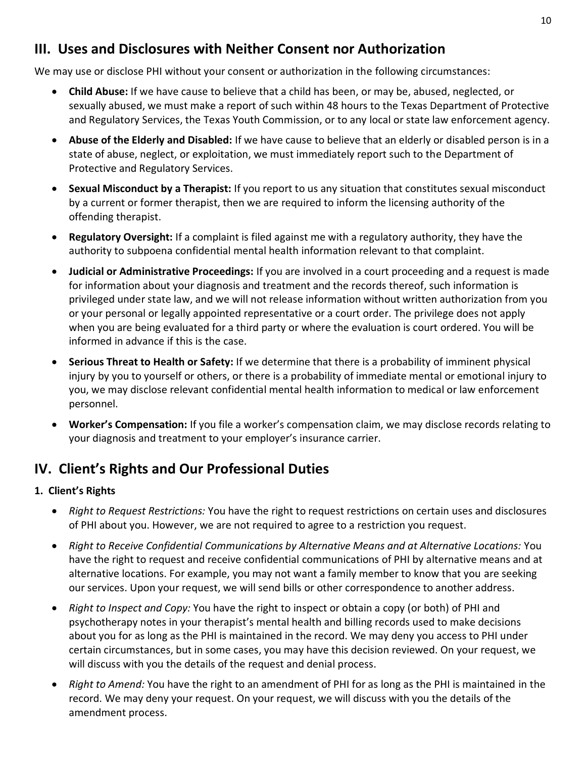#### **III. Uses and Disclosures with Neither Consent nor Authorization**

We may use or disclose PHI without your consent or authorization in the following circumstances:

- **Child Abuse:** If we have cause to believe that a child has been, or may be, abused, neglected, or sexually abused, we must make a report of such within 48 hours to the Texas Department of Protective and Regulatory Services, the Texas Youth Commission, or to any local or state law enforcement agency.
- **Abuse of the Elderly and Disabled:** If we have cause to believe that an elderly or disabled person is in a state of abuse, neglect, or exploitation, we must immediately report such to the Department of Protective and Regulatory Services.
- **Sexual Misconduct by a Therapist:** If you report to us any situation that constitutes sexual misconduct by a current or former therapist, then we are required to inform the licensing authority of the offending therapist.
- **Regulatory Oversight:** If a complaint is filed against me with a regulatory authority, they have the authority to subpoena confidential mental health information relevant to that complaint.
- **Judicial or Administrative Proceedings:** If you are involved in a court proceeding and a request is made for information about your diagnosis and treatment and the records thereof, such information is privileged under state law, and we will not release information without written authorization from you or your personal or legally appointed representative or a court order. The privilege does not apply when you are being evaluated for a third party or where the evaluation is court ordered. You will be informed in advance if this is the case.
- **Serious Threat to Health or Safety:** If we determine that there is a probability of imminent physical injury by you to yourself or others, or there is a probability of immediate mental or emotional injury to you, we may disclose relevant confidential mental health information to medical or law enforcement personnel.
- **Worker's Compensation:** If you file a worker's compensation claim, we may disclose records relating to your diagnosis and treatment to your employer's insurance carrier.

#### **IV. Client's Rights and Our Professional Duties**

#### **1. Client's Rights**

- *Right to Request Restrictions:* You have the right to request restrictions on certain uses and disclosures of PHI about you. However, we are not required to agree to a restriction you request.
- *Right to Receive Confidential Communications by Alternative Means and at Alternative Locations:* You have the right to request and receive confidential communications of PHI by alternative means and at alternative locations. For example, you may not want a family member to know that you are seeking our services. Upon your request, we will send bills or other correspondence to another address.
- *Right to Inspect and Copy:* You have the right to inspect or obtain a copy (or both) of PHI and psychotherapy notes in your therapist's mental health and billing records used to make decisions about you for as long as the PHI is maintained in the record. We may deny you access to PHI under certain circumstances, but in some cases, you may have this decision reviewed. On your request, we will discuss with you the details of the request and denial process.
- *Right to Amend:* You have the right to an amendment of PHI for as long as the PHI is maintained in the record. We may deny your request. On your request, we will discuss with you the details of the amendment process.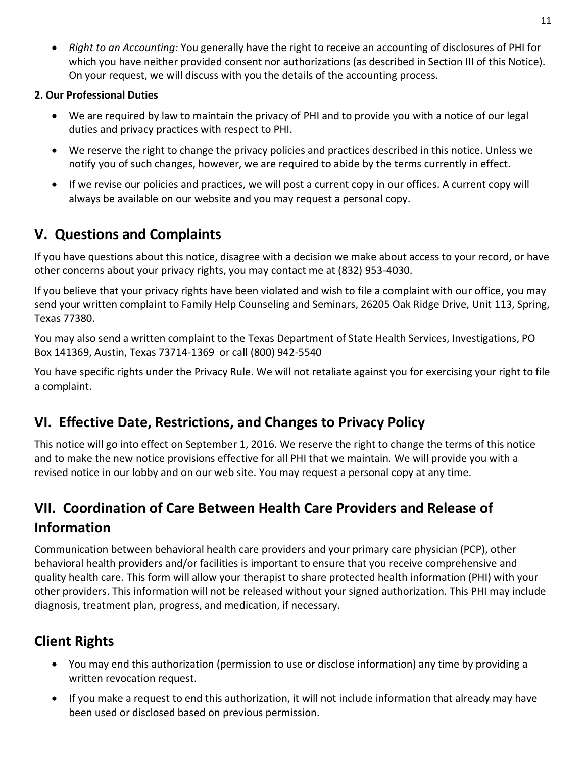• *Right to an Accounting:* You generally have the right to receive an accounting of disclosures of PHI for which you have neither provided consent nor authorizations (as described in Section III of this Notice). On your request, we will discuss with you the details of the accounting process.

#### **2. Our Professional Duties**

- We are required by law to maintain the privacy of PHI and to provide you with a notice of our legal duties and privacy practices with respect to PHI.
- We reserve the right to change the privacy policies and practices described in this notice. Unless we notify you of such changes, however, we are required to abide by the terms currently in effect.
- If we revise our policies and practices, we will post a current copy in our offices. A current copy will always be available on our website and you may request a personal copy.

### **V. Questions and Complaints**

If you have questions about this notice, disagree with a decision we make about access to your record, or have other concerns about your privacy rights, you may contact me at (832) 953-4030.

If you believe that your privacy rights have been violated and wish to file a complaint with our office, you may send your written complaint to Family Help Counseling and Seminars, 26205 Oak Ridge Drive, Unit 113, Spring, Texas 77380.

You may also send a written complaint to the Texas Department of State Health Services, Investigations, PO Box 141369, Austin, Texas 73714-1369 or call (800) 942-5540

You have specific rights under the Privacy Rule. We will not retaliate against you for exercising your right to file a complaint.

### **VI. Effective Date, Restrictions, and Changes to Privacy Policy**

This notice will go into effect on September 1, 2016. We reserve the right to change the terms of this notice and to make the new notice provisions effective for all PHI that we maintain. We will provide you with a revised notice in our lobby and on our web site. You may request a personal copy at any time.

# **VII. Coordination of Care Between Health Care Providers and Release of Information**

Communication between behavioral health care providers and your primary care physician (PCP), other behavioral health providers and/or facilities is important to ensure that you receive comprehensive and quality health care. This form will allow your therapist to share protected health information (PHI) with your other providers. This information will not be released without your signed authorization. This PHI may include diagnosis, treatment plan, progress, and medication, if necessary.

# **Client Rights**

- You may end this authorization (permission to use or disclose information) any time by providing a written revocation request.
- If you make a request to end this authorization, it will not include information that already may have been used or disclosed based on previous permission.